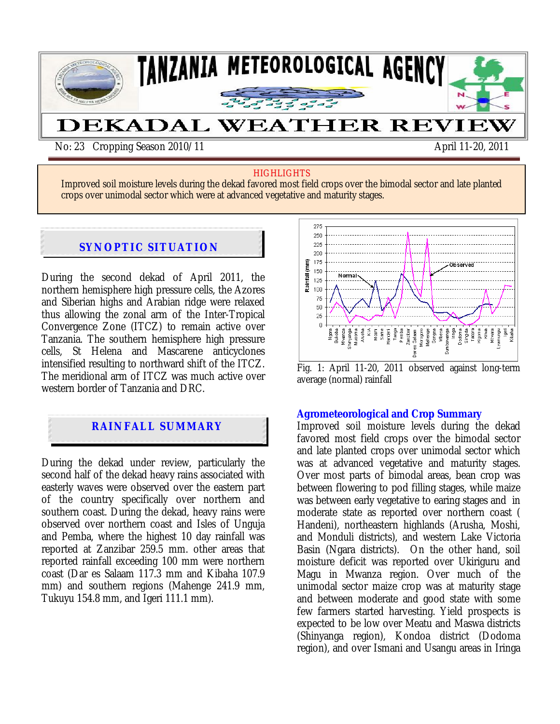

#### **HIGHLIGHTS**

Improved soil moisture levels during the dekad favored most field crops over the bimodal sector and late planted crops over unimodal sector which were at advanced vegetative and maturity stages.

#### $x \sim x \sim x$ **SYNOPTIC SITUATION**

During the second dekad of April 2011, the northern hemisphere high pressure cells, the Azores and Siberian highs and Arabian ridge were relaxed thus allowing the zonal arm of the Inter-Tropical Convergence Zone (ITCZ) to remain active over Tanzania. The southern hemisphere high pressure cells, St Helena and Mascarene anticyclones intensified resulting to northward shift of the ITCZ. The meridional arm of ITCZ was much active over western border of Tanzania and DRC.

# **RAINFALL SUMMARY**

During the dekad under review, particularly the second half of the dekad heavy rains associated with easterly waves were observed over the eastern part of the country specifically over northern and southern coast. During the dekad, heavy rains were observed over northern coast and Isles of Unguja and Pemba, where the highest 10 day rainfall was reported at Zanzibar 259.5 mm. other areas that reported rainfall exceeding 100 mm were northern coast (Dar es Salaam 117.3 mm and Kibaha 107.9 mm) and southern regions (Mahenge 241.9 mm, Tukuyu 154.8 mm, and Igeri 111.1 mm).



Fig. 1: April 11-20, 2011 observed against long-term average (normal) rainfall

#### **Agrometeorological and Crop Summary**

Improved soil moisture levels during the dekad favored most field crops over the bimodal sector and late planted crops over unimodal sector which was at advanced vegetative and maturity stages. Over most parts of bimodal areas, bean crop was between flowering to pod filling stages, while maize was between early vegetative to earing stages and in moderate state as reported over northern coast ( Handeni), northeastern highlands (Arusha, Moshi, and Monduli districts), and western Lake Victoria Basin (Ngara districts). On the other hand, soil moisture deficit was reported over Ukiriguru and Magu in Mwanza region. Over much of the unimodal sector maize crop was at maturity stage and between moderate and good state with some few farmers started harvesting. Yield prospects is expected to be low over Meatu and Maswa districts (Shinyanga region), Kondoa district (Dodoma region), and over Ismani and Usangu areas in Iringa